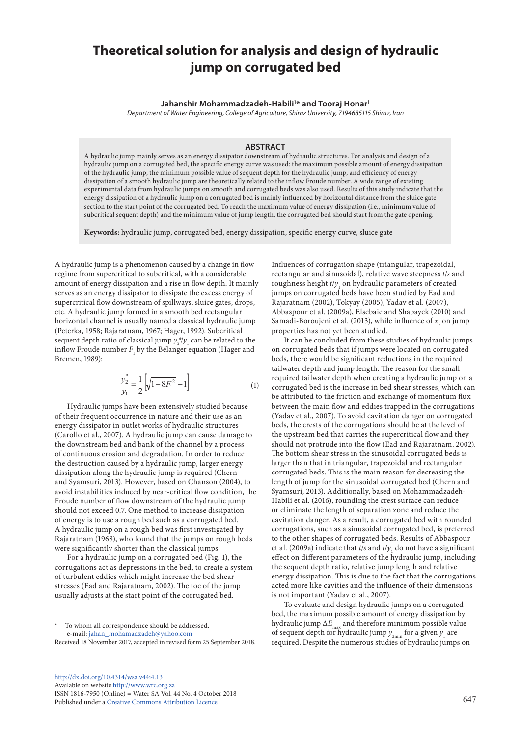# **Theoretical solution for analysis and design of hydraulic jump on corrugated bed**

**Jahanshir Mohammadzadeh-Habili1 \* and Tooraj Honar1**

*Department of Water Engineering, College of Agriculture, Shiraz University, 7194685115 Shiraz, Iran*

# **ABSTRACT**

A hydraulic jump mainly serves as an energy dissipator downstream of hydraulic structures. For analysis and design of a hydraulic jump on a corrugated bed, the specific energy curve was used: the maximum possible amount of energy dissipation of the hydraulic jump, the minimum possible value of sequent depth for the hydraulic jump, and efficiency of energy dissipation of a smooth hydraulic jump are theoretically related to the inflow Froude number. A wide range of existing experimental data from hydraulic jumps on smooth and corrugated beds was also used. Results of this study indicate that the energy dissipation of a hydraulic jump on a corrugated bed is mainly influenced by horizontal distance from the sluice gate section to the start point of the corrugated bed. To reach the maximum value of energy dissipation (i.e., minimum value of subcritical sequent depth) and the minimum value of jump length, the corrugated bed should start from the gate opening.

**Keywords:** hydraulic jump, corrugated bed, energy dissipation, specific energy curve, sluice gate

A hydraulic jump is a phenomenon caused by a change in flow regime from supercritical to subcritical, with a considerable amount of energy dissipation and a rise in flow depth. It mainly serves as an energy dissipator to dissipate the excess energy of supercritical flow downstream of spillways, sluice gates, drops, etc. A hydraulic jump formed in a smooth bed rectangular horizontal channel is usually named a classical hydraulic jump (Peterka, 1958; Rajaratnam, 1967; Hager, 1992). Subcritical sequent depth ratio of classical jump  $y_2^{\ast}/y_1$  can be related to the inflow Froude number  $F_1$  by the Bélanger equation (Hager and Bremen, 1989):

$$
\frac{y_2^*}{y_1} = \frac{1}{2} \left[ \sqrt{1 + 8F_1^2} - 1 \right]
$$
 (1)

1 1 the downstream bed and bank of the channel by a process energy dissipator in outlet works of hydraulic structures *E E* (Carollo et al., 2007). A hydraulic jump can cause damage to aissipation along the hydraulic jump is required (Chern<br>and Syamsuri, 2013). However, based on Chanson (2004), to and syamouri, 2010). However, saised on Ghanson (2004), to<br>avoid instabilities induced by near-critical flow condition, the dissipation along the hydraulic jump is required (Chern<br>
<sup>1</sup>/<sub>2012</sub>) <sub>M</sub> of energy is to use a rough bed such as a corrugated bed.<br>↑ bydgaulia iumn an a grauch bed yes first investigated b A hydraulic jump on a rough bed was first investigated by Hydraulic jumps have been extensively studied because of their frequent occurrence in nature and their use as an of continuous erosion and degradation. In order to reduce the destruction caused by a hydraulic jump, larger energy Froude number of flow downstream of the hydraulic jump should not exceed 0.7. One method to increase dissipation Rajaratnam (1968), who found that the jumps on rough beds were significantly shorter than the classical jumps.

fortugations act as depressions in the bed, to create a sy<br>of turbulent eddies which might increase the bed shear 1 1 stresses (Ead and Rajaratnam, 2002). The toe of the jump corrugations act as depressions in the bed, to create a system For a hydraulic jump on a corrugated bed (Fig. 1), the usually adjusts at the start point of the corrugated bed.

→<br><sup>★</sup> To whom all correspondence should be addressed. e-mail: [jahan\\_mohamadzadeh@yahoo.com](mailto:jahan_mohamadzadeh@yahoo.com)

*E*

Received 18 November 2017, accepted in revised form 25 September 2018.

2/3 *F*

[http://dx.doi.org/10.4314/wsa.v44i4.](http://dx.doi.org/10.4314/wsa.v44i4.13)13 http://dx.doi.org/10.4314/wsa.v44i4.13<br>Available on website<http://www.wrc.org.za> ISSN 1816-7950 (Online) = Water SA Vol. 44 No. 4 October 2018 Published under a [Creative Commons Attribution Licence](https://creativecommons.org/licenses/by/4.0/) 647  $\frac{1}{2}$  =  $\frac{1}{2}$  =  $\frac{1}{2}$  =  $\frac{1}{2}$  =  $\frac{1}{2}$  =  $\frac{1}{2}$  =  $\frac{1}{2}$  =  $\frac{1}{2}$  =  $\frac{1}{2}$  =  $\frac{1}{2}$  =  $\frac{1}{2}$  =  $\frac{1}{2}$  =  $\frac{1}{2}$  =  $\frac{1}{2}$  =  $\frac{1}{2}$  =  $\frac{1}{2}$  =  $\frac{1}{2}$  =  $\frac{1}{2}$  =  $\frac{1$ 

Influences of corrugation shape (triangular, trapezoidal, rectangular and sinusoidal), relative wave steepness *t*/*s* and roughness height  $t/y_1$  on hydraulic parameters of created jumps on corrugated beds have been studied by Ead and Rajaratnam (2002), Tokyay (2005), Yadav et al. (2007), Abbaspour et al. (2009a), Elsebaie and Shabayek (2010) and Samadi-Boroujeni et al. (2013), while influence of  $x_c$  on jump properties has not yet been studied.

It can be concluded from these studies of hydraulic jumps on corrugated beds that if jumps were located on corrugated beds, there would be significant reductions in the required tailwater depth and jump length. The reason for the small required tailwater depth when creating a hydraulic jump on a corrugated bed is the increase in bed shear stresses, which can be attributed to the friction and exchange of momentum flux between the main flow and eddies trapped in the corrugations (Yadav et al., 2007). To avoid cavitation danger on corrugated beds, the crests of the corrugations should be at the level of the upstream bed that carries the supercritical flow and they should not protrude into the flow (Ead and Rajaratnam, 2002). The bottom shear stress in the sinusoidal corrugated beds is larger than that in triangular, trapezoidal and rectangular corrugated beds. This is the main reason for decreasing the length of jump for the sinusoidal corrugated bed (Chern and Syamsuri, 2013). Additionally, based on Mohammadzadeh-Habili et al. (2016), rounding the crest surface can reduce or eliminate the length of separation zone and reduce the cavitation danger. As a result, a corrugated bed with rounded corrugations, such as a sinusoidal corrugated bed, is preferred to the other shapes of corrugated beds. Results of Abbaspour et al. (2009a) indicate that *t/s* and  $t/y_{1}$  do not have a significant effect on different parameters of the hydraulic jump, including the sequent depth ratio, relative jump length and relative energy dissipation. This is due to the fact that the corrugations acted more like cavities and the influence of their dimensions is not important (Yadav et al., 2007).

To evaluate and design hydraulic jumps on a corrugated bed, the maximum possible amount of energy dissipation by hydraulic jump  $\Delta E_{\rm max}$  and therefore minimum possible value of sequent depth for hydraulic jump  $y_{_{\rm 2min}}$  for a given  $y_{_{\rm 1}}$  are required. Despite the numerous studies of hydraulic jumps on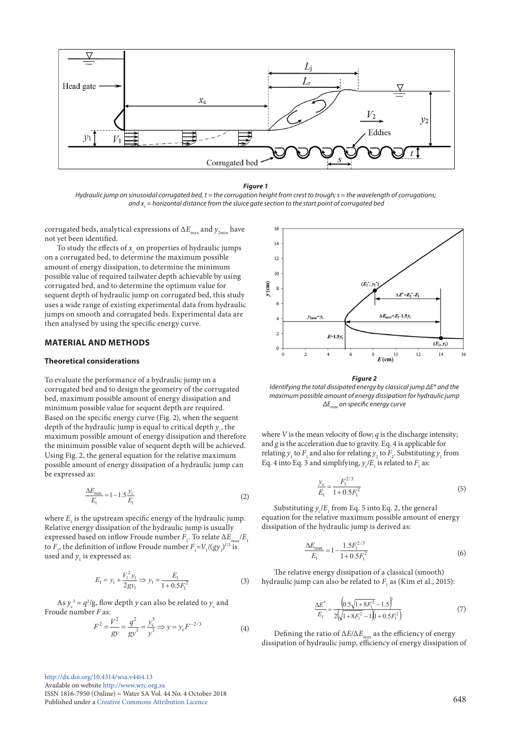



*Hydraulic jump on sinusoidal corrugated bed, t = the corrugation height from crest to trough; s = the wavelength of corrugations;* and  $x_c$  = horizontal distance from the sluice gate section to the start point of corrugated bea

corrugated beds, analytical expressions of  $\Delta E_{\text{max}}$  and  $y_{2\text{min}}$  have not yet been identified.

To study the effects of  $x_c$  on properties of hydraulic jumps on a corrugated bed, to determine the maximum possible amount of energy dissipation, to determine the minimum possible value of required tailwater depth achievable by using corrugated bed, and to determine the optimum value for sequent depth of hydraulic jump on corrugated bed, this study uses a wide range of existing experimental data from hydraulic jumps on smooth and corrugated beds. Experimental data are then analysed by using the specific energy curve.

# **MATERIAL AND METHODS**

# **Theoretical considerations**

To evaluate the performance of a hydraulic jump on a corrugated bed and to design the geometry of the corrugated bed, maximum possible amount of energy dissipation and minimum possible value for sequent depth are required. Based on the specific energy curve (Fig. 2), when the sequent depth of the hydraulic jump is equal to critical depth  $y_c$ , the maximum possible amount of energy dissipation and therefore the minimum possible value of sequent depth will be achieved. Using Fig. 2, the general equation for the relative maximum Using Fig. 2, the general equation for the relative maximum<br>possible amount of energy dissipation of a hydraulic jump can be expressed as:

$$
\frac{\Delta E_{\text{max}}}{E_1} = 1 - 1.5 \frac{y_c}{E_1}
$$
 (2)

Relative energy dissipation of the hydraulic jump is usually<br>expressed based on inflow Froude number  $F_1$ . To relate  $\Delta E_{\text{max}}/E_1$ 1 2 *E* Relative energy dissipation of the hydraulic jump is usually where  $E_{1}$  is the upstream specific energy of the hydraulic jump. to  $F_1$ , the definition of inflow Froude number  $F_1 = V_1 / (gy_1)^{1/2}$  is used and  $y_1$  is expressed as:

$$
E_1 = y_1 + \frac{V_1^2 y_1}{2gy_1} \Rightarrow y_1 = \frac{E_1}{1 + 0.5F_1^2}
$$
 (3)

As  $y_c^3 = q^2/g$ , flow depth *y* can also be related to  $y_c$  and Froude number *F* as: *E*

$$
F^{2} = \frac{V^{2}}{gy} = \frac{q^{2}}{gy^{3}} = \frac{y_{c}^{3}}{y^{3}} \Rightarrow y = y_{c} F^{-2/3}
$$
(4)



le amount of energy dissipation t<br>ΔE<sub><sub>max</sub> on specific energy curve</sub> rdentifying the total dissipated energy by classical fump <u>or "</u> and the<br>maximum possible amount of energy dissipation for hydraulic jump *Figure 2*<br>Identifying the total dissipated energy by classical jump ΔE\* and the *<sup>E</sup>* <sup>=</sup> <sup>−</sup>

where  $V$  is the mean velocity of flow;  $q$  is the discharge intensity; and *g* is the acceleration due to gravity. Eq. 4 is applicable for  $\frac{1}{2}$ relating  $y_1$  to  $F_1$  and also for relating  $y_2$  to  $F_2$ . Substituting  $y_1$  from Eq. 4 into Eq. 3 and simplifying,  $y_c/E_1$  is related to  $F_1$  as:  $\frac{1}{2}$  **mean velocity of flow:** *a* is the

$$
\frac{y_c}{E_1} = \frac{F_1^{2/3}}{1 + 0.5F_1^2}
$$
 (5)

 $\sim$   $\sim$ 

dissipation of the hydraulic jump is derived as: equation for the relative maximum possible amount of energy *E* Substituting  $y_c/E_1$  from Eq. 5 into Eq. 2, the general stion for the relative maximum possible amount of  $\overline{a}$ 

$$
\frac{\Delta E_{\text{max}}}{E_1} = 1 - \frac{1.5 F_1^{2/3}}{1 + 0.5 F_1^2}
$$
(6)

The relative energy dissipation of a classical (smooth) hydraulic jump can also be related to  $F_1$  as (Kim et al., 2015):  $\overline{1}$ .<br>energy dissipation

$$
\frac{\Delta E^*}{E_1} = \frac{\left(0.5\sqrt{1 + 8F_1^2} - 1.5\right)^3}{2\left(\sqrt{1 + 8F_1^2} - 1\right)\left(1 + 0.5F_1^2\right)}\tag{7}
$$

 $E_1 = 2(\sqrt{1+8F_1^2} - 1)(1+0.5F_1^2)$ <br>Defining the ratio of  $\Delta E/\Delta E_{\text{max}}$  as the efficiency of energy  $\lim_{\epsilon \to 0}$  or energy  $\frac{1}{2}$   $\frac{1}{2}$   $\frac{1}{2}$   $\frac{1}{2}$   $\frac{1}{2}$   $\frac{1}{2}$   $\frac{1}{2}$   $\frac{1}{2}$   $\frac{1}{2}$   $\frac{1}{2}$   $\frac{1}{2}$   $\frac{1}{2}$   $\frac{1}{2}$   $\frac{1}{2}$   $\frac{1}{2}$   $\frac{1}{2}$   $\frac{1}{2}$   $\frac{1}{2}$   $\frac{1}{2}$   $\frac{1}{2}$   $\frac{1}{2}$   $\frac{1}{2}$  <sup>1</sup> E Tatio of *EE/EE*<sub>max</sub> as the emetency of energy<br>hydraulic jump, efficiency of energy dissipatio *E*<br>
dissipation of hydraulic jump, efficiency of energy dissipation of<br>
dissipation of hydraulic jump, efficiency of energy dissipation of + − + −

[http://dx.doi.org/10.4314/wsa.v44i4.1](http://dx.doi.org/10.4314/wsa.v44i4.13)3 Available on website <http://www.wrc.org.za> *A*vanable on website http://www.wrc.org.za<br>ISSN 1816-7950 (Online) = Water SA Vol. 44 No. 4 October 2018 Published under a [Creative Commons Attribution Licence](https://creativecommons.org/licenses/by/4.0/) 648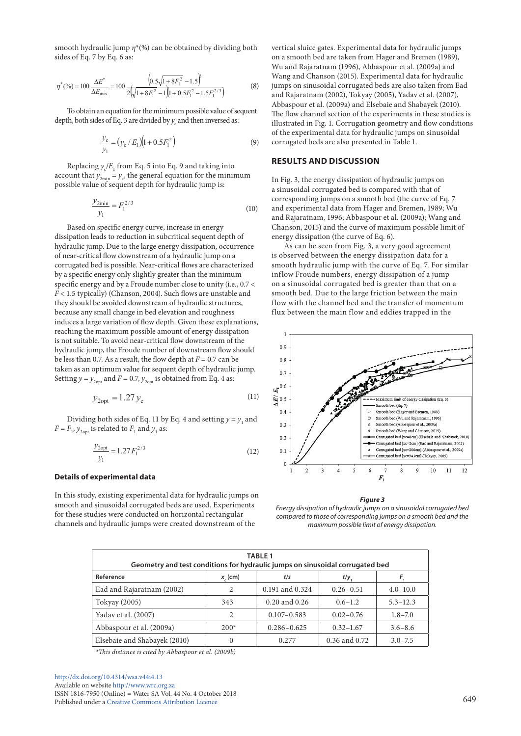smooth hydraulic jump  $\eta^*(\%)$  can be obtained by dividing both sides of Eq. 7 by Eq. 6 as:  $\int \eta$  (*70)* can be obtained  $\sum_{k} P_{k} = 6.88$  $(20)$  can be on *r* aulic jump *η*\*(%) can be obta:<br>7 by Eq. 6 as: *E*

$$
\eta^*(\%) = 100 \frac{\Delta E^*}{\Delta E_{\text{max}}} = 100 \frac{\left(0.5\sqrt{1+8F_1^2}-1.5\right)^3}{2\left(\sqrt{1+8F_1^2}-1\right)\left(1+0.5F_1^2-1.5F_1^{2/3}\right)}
$$
(8)

depth, both sides of Eq. 3 are divided by  $y_c$  and then inversed as:  $\frac{1}{2}$  illustra To obtain an equation for the minimum possible value of sequent<br>  $\frac{1}{2}$  To obtain an equation for the minimum possible value of sequent<br>  $\frac{1}{2}$  The both sides of Eq. 3 are divided by *y* and then inversed as:

$$
\frac{y_c}{y_1} = (y_c / E_1)(1 + 0.5F_1^2)
$$
\n(9)

Replacing  $y_{\rm c}/E_{\rm 1}$  from Eq. 5 into Eq. 9 and taking into Exeption  $y'_c/c_1$  from Eq. 5 and taking motion for the minimum account that  $y_{2min} = y_c$ , the general equation for the minimum  $y_{2min}$  *F<sub>2</sub>*, and general equation for the m<br>possible value of sequent depth for hydraulic jump is:<br> $y_{2min} = -2/3$  $\log y_c / E_1$  from Eq. 5 inte

$$
\frac{y_{2\min}}{y_1} = F_1^{2/3} \tag{10}
$$

Based on specific energy curve, increase in energy<br>instian laads to notustion in submitiaal sequent do dissipation leads to reduction in subcritical sequent depth of hydraulic jump. Due to the large energy dissipation, occurrence of near-critical flow downstream of a hydraulic jump on a same is observed to the state of the state of the cor<br> **COLOGY** CONTINUMENT CONTINUMENT OF THE STATE OF THE STATE OF THE STATE OF THE STATE OF THE STATE OF THE STAT of near-critical flow downstream of a hydraulic jump on a<br>corrugated bed is possible. Near-critical flows are characterized s corrugated bed is possible. Near-critical flows are characterized sinooth h<br>by a specific energy only slightly greater than the minimum inflow Fr specific energy and by a Froude number close to unity (i.e., 0.7 < *F* < 1.5 typically) (Chanson, 2004). Such flows are unstable and they should be avoided downstream of hydraulic structures, because any small change in bed elevation and roughness<br>induces a large variation of flow don't Civen these evrlor because any small change in bed elevation and rougnness<br>induces a large variation of flow depth. Given these explanations, reaching the maximum possible amount of energy dissipation 1 is not suitable. To avoid near-critical flow downstream of the hydraulic jump, the Froude number of downstream flow should be less than 0.7. As a result, the flow depth at  $F = 0.7$  can be be less than 0.7. As a result, the now depth at  $F = 0.7$  can be taken as an optimum value for sequent depth of hydraulic jump. Setting  $y = y_{2opt}$  and  $F = 0.7$ ,  $y_{2opt}$  is obtained from Eq. 4 as: *y*

$$
y_{2opt} = 1.27 y_c \tag{11}
$$

Dividing both sides of Eq. 11 by Eq. 4 and setting  $y = y_1$  and  $F = F_1$ ,  $y_{2opt}$  is related to  $F_1$  and  $y_1$  as:

$$
\frac{y_{2opt}}{y_1} = 1.27 F_1^{2/3}
$$
 (12)

## **Details of experimental data**

In this study, existing experimental data for hydraulic jumps on smooth and sinusoidal corrugated beds are used. Experiments for these studies were conducted on horizontal rectangular channels and hydraulic jumps were created downstream of the

Abbaspour et al. (2009a) and Elsebaie and Shabayek (2010). 1 illustrated in Fig. 1. Corrugation geometry and flow conditions vertical sluice gates. Experimental data for hydraulic jumps on a smooth bed are taken from Hager and Bremen (1989), Wu and Rajaratnam (1996), Abbaspour et al. (2009a) and Wang and Chanson (2015). Experimental data for hydraulic jumps on sinusoidal corrugated beds are also taken from Ead and Rajaratnam (2002), Tokyay (2005), Yadav et al. (2007), The flow channel section of the experiments in these studies is of the experimental data for hydraulic jumps on sinusoidal corrugated beds are also presented in Table 1.

## **RESULTS AND DISCUSSION**

In Fig. 3, the energy dissipation of hydraulic jumps on a sinusoidal corrugated bed is compared with that of corresponding jumps on a smooth bed (the curve of Eq. 7 and experimental data from Hager and Bremen, 1989; Wu and Rajaratnam, 1996; Abbaspour et al. (2009a); Wang and Chanson, 2015) and the curve of maximum possible limit of energy dissipation (the curve of Eq. 6).

( ) <sup>3</sup> <sup>2</sup> is observed between the energy dissipation data for a s are characterized sinooth hydraunc jump with the curve of Eq. 7. For si<br>the minimum inflow Froude numbers, energy dissipation of a jump 2 smooth hydraulic jump with the curve of Eq. 7. For similar As can be seen from Fig. 3, a very good agreement on a sinusoidal corrugated bed is greater than that on a smooth bed. Due to the large friction between the main flow with the channel bed and the transfer of momentum flux between the main flow and eddies trapped in the



#### *Figure 3*

*Energy dissipation of hydraulic jumps on a sinusoidal corrugated bed compared to those of corresponding jumps on a smooth bed and the maximum possible limit of energy dissipation.*

| <b>TABLE 1</b><br>Geometry and test conditions for hydraulic jumps on sinusoidal corrugated bed |              |                   |               |              |
|-------------------------------------------------------------------------------------------------|--------------|-------------------|---------------|--------------|
| Reference                                                                                       | $x_{c}$ (cm) | t/s               | t/y           |              |
| Ead and Rajaratnam (2002)                                                                       | 2            | 0.191 and 0.324   | $0.26 - 0.51$ | $4.0 - 10.0$ |
| Tokyay (2005)                                                                                   | 343          | $0.20$ and $0.26$ | $0.6 - 1.2$   | $5.3 - 12.3$ |
| Yadav et al. (2007)                                                                             | 2            | $0.107 - 0.583$   | $0.02 - 0.76$ | $1.8 - 7.0$  |
| Abbaspour et al. (2009a)                                                                        | $200*$       | $0.286 - 0.625$   | $0.32 - 1.67$ | $3.6 - 8.6$  |
| Elsebaie and Shabayek (2010)                                                                    | $\mathbf{0}$ | 0.277             | 0.36 and 0.72 | $3.0 - 7.5$  |

*\*This distance is cited by Abbaspour et al. (2009b)*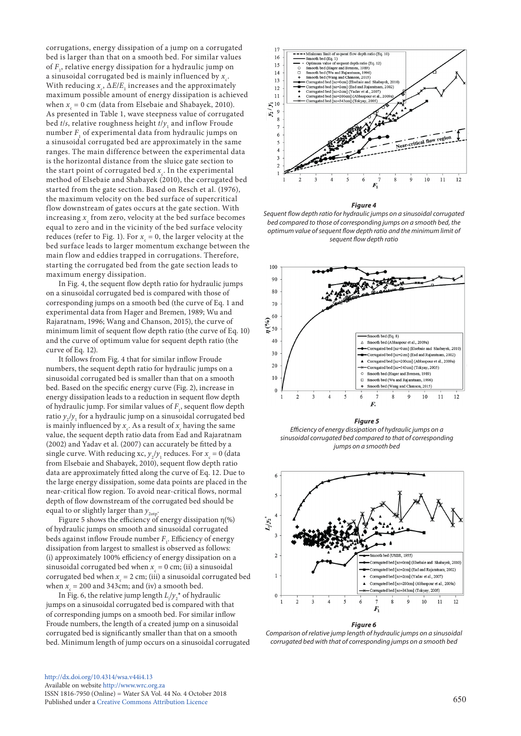corrugations, energy dissipation of a jump on a corrugated bed is larger than that on a smooth bed. For similar values of *F*<sup>1</sup> , relative energy dissipation for a hydraulic jump on a sinusoidal corrugated bed is mainly influenced by  $x_c$ . With reducing  $x_c$ ,  $\Delta E/E_1$  increases and the approximately maximum possible amount of energy dissipation is achieved when  $x_c = 0$  cm (data from Elsebaie and Shabayek, 2010). As presented in Table 1, wave steepness value of corrugated bed *t/s*, relative roughness height *t/y*<sub>1</sub> and inflow Froude number *F*<sup>1</sup> of experimental data from hydraulic jumps on a sinusoidal corrugated bed are approximately in the same ranges. The main difference between the experimental data is the horizontal distance from the sluice gate section to the start point of corrugated bed  $x_c$ . In the experimental method of Elsebaie and Shabayek (2010), the corrugated bed started from the gate section. Based on Resch et al. (1976), the maximum velocity on the bed surface of supercritical flow downstream of gates occurs at the gate section. With increasing  $x_{\text{c}}$  from zero, velocity at the bed surface becomes equal to zero and in the vicinity of the bed surface velocity reduces (refer to Fig. 1). For  $x_c = 0$ , the larger velocity at the bed surface leads to larger momentum exchange between the main flow and eddies trapped in corrugations. Therefore, starting the corrugated bed from the gate section leads to maximum energy dissipation.

In Fig. 4, the sequent flow depth ratio for hydraulic jumps on a sinusoidal corrugated bed is compared with those of corresponding jumps on a smooth bed (the curve of Eq. 1 and experimental data from Hager and Bremen, 1989; Wu and Rajaratnam, 1996; Wang and Chanson, 2015), the curve of minimum limit of sequent flow depth ratio (the curve of Eq. 10) and the curve of optimum value for sequent depth ratio (the curve of Eq. 12).

It follows from Fig. 4 that for similar inflow Froude numbers, the sequent depth ratio for hydraulic jumps on a sinusoidal corrugated bed is smaller than that on a smooth bed. Based on the specific energy curve (Fig. 2), increase in energy dissipation leads to a reduction in sequent flow depth of hydraulic jump. For similar values of  $F_{1}$ , sequent flow depth ratio  $y_2/y_1$  for a hydraulic jump on a sinusoidal corrugated bed is mainly influenced by  $x_c$ . As a result of  $x_c$  having the same value, the sequent depth ratio data from Ead and Rajaratnam (2002) and Yadav et al. (2007) can accurately be fitted by a single curve. With reducing xc,  $y_2/y_1$  reduces. For  $x_c = 0$  (data from Elsebaie and Shabayek, 2010), sequent flow depth ratio data are approximately fitted along the curve of Eq. 12. Due to the large energy dissipation, some data points are placed in the near-critical flow region. To avoid near-critical flows, normal depth of flow downstream of the corrugated bed should be equal to or slightly larger than  $y_{2\text{otp}}$ .

Figure 5 shows the efficiency of energy dissipation  $\eta$ <sup>(%)</sup> of hydraulic jumps on smooth and sinusoidal corrugated beds against inflow Froude number  $F_{1}$ . Efficiency of energy dissipation from largest to smallest is observed as follows: (i) approximately 100% efficiency of energy dissipation on a sinusoidal corrugated bed when  $x_c = 0$  cm; (ii) a sinusoidal corrugated bed when  $x_c = 2$  cm; (iii) a sinusoidal corrugated bed when  $x_c = 200$  and 343cm; and (iv) a smooth bed.

In Fig. 6, the relative jump length  $L_j / y_2^*$  of hydraulic jumps on a sinusoidal corrugated bed is compared with that of corresponding jumps on a smooth bed. For similar inflow Froude numbers, the length of a created jump on a sinusoidal corrugated bed is significantly smaller than that on a smooth bed. Minimum length of jump occurs on a sinusoidal corrugated



#### *Figure 4*

*Sequent flow depth ratio for hydraulic jumps on a sinusoidal corrugated bed compared to those of corresponding jumps on a smooth bed, the optimum value of sequent flow depth ratio and the minimum limit of sequent flow depth ratio*



*Figure 5 Efficiency of energy dissipation of hydraulic jumps on a sinusoidal corrugated bed compared to that of corresponding jumps on a smooth bed*



#### *Figure 6*

*Comparison of relative jump length of hydraulic jumps on a sinusoidal corrugated bed with that of corresponding jumps on a smooth bed*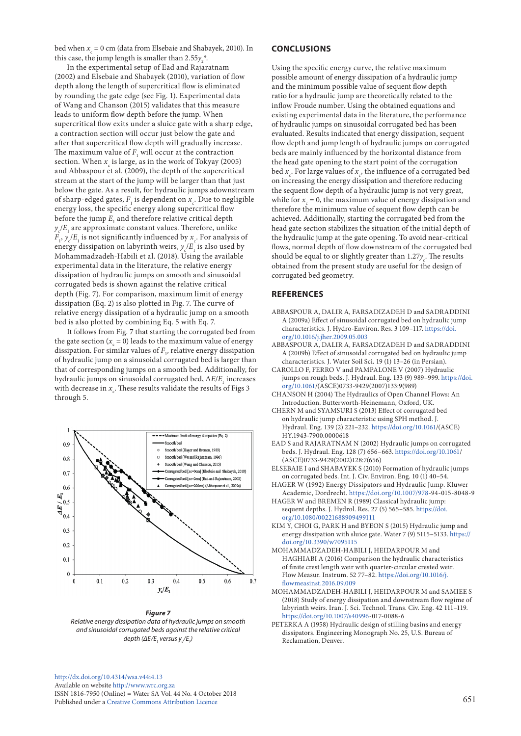bed when  $x_c$  = 0 cm (data from Elsebaie and Shabayek, 2010). In this case, the jump length is smaller than  $2.55y_2^*$ .

In the experimental setup of Ead and Rajaratnam (2002) and Elsebaie and Shabayek (2010), variation of flow depth along the length of supercritical flow is eliminated by rounding the gate edge (see Fig. 1). Experimental data of Wang and Chanson (2015) validates that this measure leads to uniform flow depth before the jump. When supercritical flow exits under a sluice gate with a sharp edge, a contraction section will occur just below the gate and after that supercritical flow depth will gradually increase. The maximum value of  $F_1$  will occur at the contraction section. When  $x_c$  is large, as in the work of Tokyay (2005) and Abbaspour et al. (2009), the depth of the supercritical stream at the start of the jump will be larger than that just below the gate. As a result, for hydraulic jumps adownstream of sharp-edged gates,  $F_1$  is dependent on  $x_c$ . Due to negligible energy loss, the specific energy along supercritical flow before the jump  $E_{1}$  and therefore relative critical depth  $y_c/E_{1}$  are approximate constant values. Therefore, unlike  $F_1$ ,  $y_c$ / $E_1$  is not significantly influenced by  $x_c$ . For analysis of energy dissipation on labyrinth weirs,  $y_c/E_1$  is also used by Mohammadzadeh-Habili et al. (2018). Using the available experimental data in the literature, the relative energy dissipation of hydraulic jumps on smooth and sinusoidal corrugated beds is shown against the relative critical depth (Fig. 7). For comparison, maximum limit of energy dissipation (Eq. 2) is also plotted in Fig. 7. The curve of relative energy dissipation of a hydraulic jump on a smooth bed is also plotted by combining Eq. 5 with Eq. 7.

It follows from Fig. 7 that starting the corrugated bed from the gate section  $(x_c = 0)$  leads to the maximum value of energy dissipation. For similar values of  $F_{\rm p}$  relative energy dissipation of hydraulic jump on a sinusoidal corrugated bed is larger than that of corresponding jumps on a smooth bed. Additionally, for hydraulic jumps on sinusoidal corrugated bed, Δ*E*/*E*<sup>1</sup> increases with decrease in  $x_c$ . These results validate the results of Figs 3 through 5.



*Figure 7 Relative energy dissipation data of hydraulic jumps on smooth and sinusoidal corrugated beds against the relative critical depth (ΔE/E<sub>1</sub> versus y /E<sub>1</sub>)* 

[http://dx.doi.org/10.4314/wsa.v44i4.](http://dx.doi.org/10.4314/wsa.v44i4.13)13 Available on website<http://www.wrc.org.za> ISSN 1816-7950 (Online) = Water SA Vol. 44 No. 4 October 2018 Published under a [Creative Commons Attribution Licence](https://creativecommons.org/licenses/by/4.0/) 651

## **CONCLUSIONS**

Using the specific energy curve, the relative maximum possible amount of energy dissipation of a hydraulic jump and the minimum possible value of sequent flow depth ratio for a hydraulic jump are theoretically related to the inflow Froude number. Using the obtained equations and existing experimental data in the literature, the performance of hydraulic jumps on sinusoidal corrugated bed has been evaluated. Results indicated that energy dissipation, sequent flow depth and jump length of hydraulic jumps on corrugated beds are mainly influenced by the horizontal distance from the head gate opening to the start point of the corrugation bed  $x_c$ . For large values of  $x_c$ , the influence of a corrugated bed on increasing the energy dissipation and therefore reducing the sequent flow depth of a hydraulic jump is not very great, while for  $x_c = 0$ , the maximum value of energy dissipation and therefore the minimum value of sequent flow depth can be achieved. Additionally, starting the corrugated bed from the head gate section stabilizes the situation of the initial depth of the hydraulic jump at the gate opening. To avoid near-critical flows, normal depth of flow downstream of the corrugated bed should be equal to or slightly greater than  $1.27y_c$ . The results obtained from the present study are useful for the design of corrugated bed geometry.

### **REFERENCES**

- ABBASPOUR A, DALIR A, FARSADIZADEH D and SADRADDINI A (2009a) Effect of sinusoidal corrugated bed on hydraulic jump characteristics. J. Hydro-Environ. Res. 3 109–117. [https://doi.](https://doi.org/10.1016/j.jher.2009.05.003) [org/10.1016/j.jher.2009.05.003](https://doi.org/10.1016/j.jher.2009.05.003)
- ABBASPOUR A, DALIR A, FARSADIZADEH D and SADRADDINI A (2009b) Effect of sinusoidal corrugated bed on hydraulic jump characteristics. J. Water Soil Sci. 19 (1) 13–26 (in Persian).
- CAROLLO F, FERRO V and PAMPALONE V (2007) Hydraulic jumps on rough beds. J. Hydraul. Eng. 133 (9) 989–999. [https://doi.](https://doi.org/10.1061) [org/10.1061](https://doi.org/10.1061)/(ASCE)0733-9429(2007)133:9(989)
- CHANSON H (2004) The Hydraulics of Open Channel Flows: An Introduction. Butterworth-Heinemann, Oxford, UK.
- CHERN M and SYAMSURI S (2013) Effect of corrugated bed on hydraulic jump characteristic using SPH method. J. Hydraul. Eng. 139 (2) 221–232. [https://doi.org/10.1061/](https://doi.org/10.1061)(ASCE) HY.1943-7900.0000618
- EAD S and RAJARATNAM N (2002) Hydraulic jumps on corrugated beds. J. Hydraul. Eng. 128 (7) 656–663. <https://doi.org/10.1061>/ (ASCE)0733-9429(2002)128:7(656)
- ELSEBAIE I and SHABAYEK S (2010) Formation of hydraulic jumps on corrugated beds. Int. J. Civ. Environ. Eng. 10 (1) 40–54.
- HAGER W (1992) Energy Dissipators and Hydraulic Jump. Kluwer Academic, Dordrecht. [https://doi.org/10.1007/978-](https://doi.org/10.1007/978)94-015-8048-9
- HAGER W and BREMEN R (1989) Classical hydraulic jump: sequent depths. J. Hydrol. Res. 27 (5) 565–585. [https://doi.](https://doi.org/10.1080/00221688909499111) [org/10.1080/00221688909499111](https://doi.org/10.1080/00221688909499111)
- KIM Y, CHOI G, PARK H and BYEON S (2015) Hydraulic jump and energy dissipation with sluice gate. Water 7 (9) 5115–5133. [https://](https://doi.org/10.3390/w7095115) [doi.org/10.3390/w7095115](https://doi.org/10.3390/w7095115)
- MOHAMMADZADEH-HABILI J, HEIDARPOUR M and HAGHIABI A (2016) Comparison the hydraulic characteristics of finite crest length weir with quarter-circular crested weir. Flow Measur. Instrum. 52 77–82. [https://doi.org/10.1016/j.](https://doi.org/10.1016/j.flowmeasinst.2016.09.009) [flowmeasinst.2016.09.009](https://doi.org/10.1016/j.flowmeasinst.2016.09.009)
- MOHAMMADZADEH-HABILI J, HEIDARPOUR M and SAMIEE S (2018) Study of energy dissipation and downstream flow regime of labyrinth weirs. Iran. J. Sci. Technol. Trans. Civ. Eng. 42 111–119. [https://doi.org/10.1007/s40996-](https://doi.org/10.1007/s40996)017-0088-6
- PETERKA A (1958) Hydraulic design of stilling basins and energy dissipators. Engineering Monograph No. 25, U.S. Bureau of Reclamation, Denver.